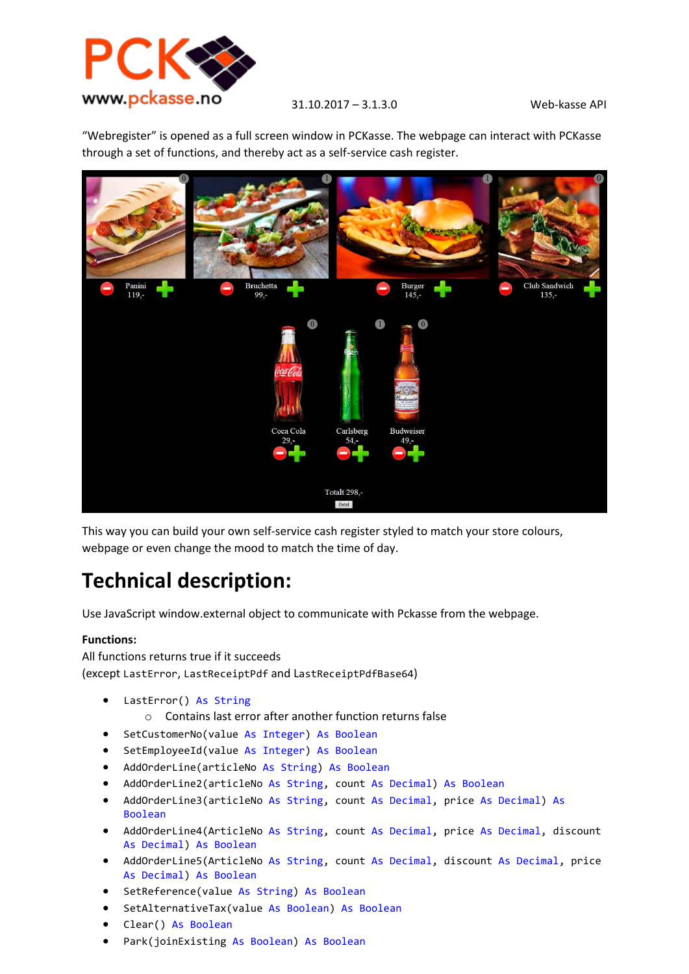

31.10.2017 – 3.1.3.0 Web-kasse API

"Webregister" is opened as a full screen window in PCKasse. The webpage can interact with PCKasse through a set of functions, and thereby act as a self-service cash register.



This way you can build your own self-service cash register styled to match your store colours, webpage or even change the mood to match the time of day.

## **Technical description:**

Use JavaScript window.external object to communicate with Pckasse from the webpage.

## **Functions:**

All functions returns true if it succeeds (except LastError, LastReceiptPdf and LastReceiptPdfBase64)

- LastError() As String
	- o Contains last error after another function returns false
- SetCustomerNo(value As Integer) As Boolean
- SetEmployeeId(value As Integer) As Boolean
- AddOrderLine(articleNo As String) As Boolean
- AddOrderLine2(articleNo As String, count As Decimal) As Boolean
- AddOrderLine3(articleNo As String, count As Decimal, price As Decimal) As Boolean
- AddOrderLine4(ArticleNo As String, count As Decimal, price As Decimal, discount As Decimal) As Boolean
- AddOrderLine5(ArticleNo As String, count As Decimal, discount As Decimal, price As Decimal) As Boolean
- SetReference(value As String) As Boolean
- SetAlternativeTax(value As Boolean) As Boolean
- Clear() As Boolean
- Park(joinExisting As Boolean) As Boolean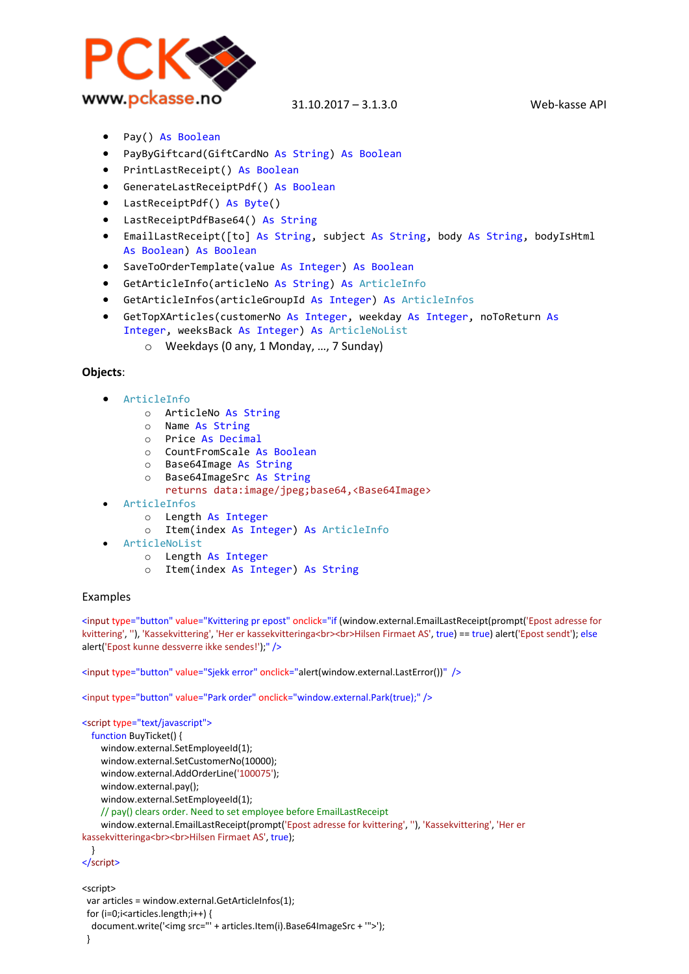

31.10.2017 – 3.1.3.0 Web-kasse API

- Pay() As Boolean
- PayByGiftcard(GiftCardNo As String) As Boolean
- PrintLastReceipt() As Boolean
- GenerateLastReceiptPdf() As Boolean
- LastReceiptPdf() As Byte()
- LastReceiptPdfBase64() As String
- EmailLastReceipt([to] As String, subject As String, body As String, bodyIsHtml As Boolean) As Boolean
- SaveToOrderTemplate(value As Integer) As Boolean
- GetArticleInfo(articleNo As String) As ArticleInfo
- GetArticleInfos(articleGroupId As Integer) As ArticleInfos
- GetTopXArticles(customerNo As Integer, weekday As Integer, noToReturn As Integer, weeksBack As Integer) As ArticleNoList
	- o Weekdays (0 any, 1 Monday, …, 7 Sunday)

## **Objects**:

- ArticleInfo
	- o ArticleNo As String
	- o Name As String
	- o Price As Decimal
	- o CountFromScale As Boolean
	- o Base64Image As String
	- o Base64ImageSrc As String
	- returns data:image/jpeg;base64,<Base64Image>
- ArticleInfos
	- o Length As Integer
	- o Item(index As Integer) As ArticleInfo
- ArticleNoList
	- o Length As Integer
	- o Item(index As Integer) As String

## Examples

<input type="button" value="Kvittering pr epost" onclick="if (window.external.EmailLastReceipt(prompt('Epost adresse for kvittering', "), 'Kassekvittering', 'Her er kassekvitteringa<br>>br>Hilsen Firmaet AS', true) == true) alert('Epost sendt'); else alert('Epost kunne dessverre ikke sendes!');" />

<input type="button" value="Sjekk error" onclick="alert(window.external.LastError())" />

<input type="button" value="Park order" onclick="window.external.Park(true);" />

```
<script type="text/javascript">
   function BuyTicket() {
     window.external.SetEmployeeId(1);
     window.external.SetCustomerNo(10000);
     window.external.AddOrderLine('100075');
     window.external.pay();
     window.external.SetEmployeeId(1);
     // pay() clears order. Need to set employee before EmailLastReceipt
     window.external.EmailLastReceipt(prompt('Epost adresse for kvittering', ''), 'Kassekvittering', 'Her er 
kassekvitteringa<br><br>Hilsen Firmaet AS', true);
   }
</script>
<script>
 var articles = window.external.GetArticleInfos(1);
  for (i=0;i<articles.length;i++) {
   document.write('<img src="' + articles.Item(i).Base64ImageSrc + '">');
  }
```